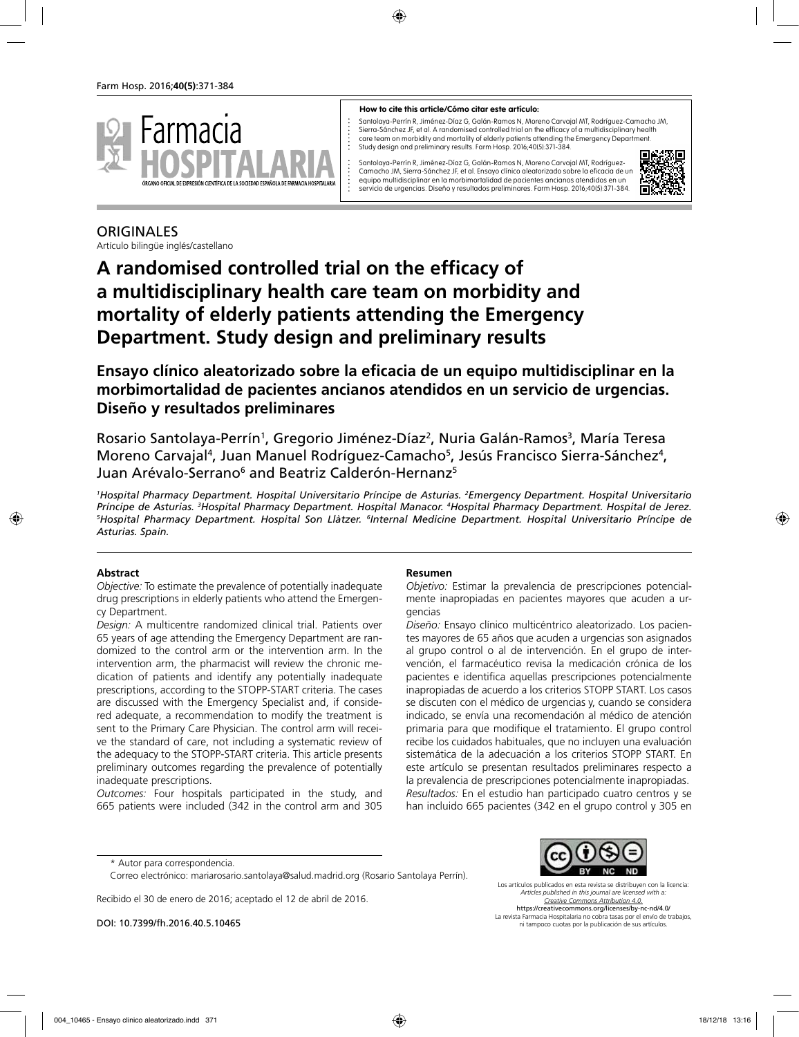

#### **How to cite this article/Cómo citar este artículo:**

Santolaya-Perrín R, Jiménez-Díaz G, Galán-Ramos N, Moreno Carvajal MT, Rodríguez-Camacho JM, Sierra-Sánchez JF, et al. A randomised controlled trial on the efficacy of a multidisciplinary health care team on morbidity and mortality of elderly patients attending the Emergency Department. Study design and preliminary results. Farm Hosp. 2016;40(5):371-384.

Santolaya-Perrín R, Jiménez-Díaz G, Galán-Ramos N, Moreno Carvajal MT, Rodríguez-Camacho JM, Sierra-Sánchez JF, et al. Ensayo clínico aleatorizado sobre la eficacia de un equipo multidisciplinar en la morbimortalidad de pacientes ancianos atendidos en un servicio de urgencias. Diseño y resultados preliminares. Farm Hosp. 2016;40(5):371-384.



## ORIGINALES

Artículo bilingüe inglés/castellano

# **A randomised controlled trial on the efficacy of a multidisciplinary health care team on morbidity and mortality of elderly patients attending the Emergency Department. Study design and preliminary results**

**Ensayo clínico aleatorizado sobre la eficacia de un equipo multidisciplinar en la morbimortalidad de pacientes ancianos atendidos en un servicio de urgencias. Diseño y resultados preliminares**

Rosario Santolaya-Perrín<sup>1</sup>, Gregorio Jiménez-Díaz<sup>2</sup>, Nuria Galán-Ramos<sup>3</sup>, María Teresa Moreno Carvajal<sup>4</sup>, Juan Manuel Rodríguez-Camacho<sup>5</sup>, Jesús Francisco Sierra-Sánchez<sup>4</sup>, Juan Arévalo-Serrano<sup>6</sup> and Beatriz Calderón-Hernanz<sup>5</sup>

*1 Hospital Pharmacy Department. Hospital Universitario Príncipe de Asturias. 2 Emergency Department. Hospital Universitario*  Príncipe de Asturias. <sup>3</sup>Hospital Pharmacy Department. Hospital Manacor. <sup>4</sup>Hospital Pharmacy Department. Hospital de Jerez.<br><sup>5</sup>Hospital Pharmacy Department. Hospital Son Llàtzer. <sup>6</sup>Internal Medicine Department. Hospital *Hospital Pharmacy Department. Hospital Son Llàtzer. 6 Internal Medicine Department. Hospital Universitario Príncipe de Asturias. Spain.*

#### **Abstract**

*Objective:* To estimate the prevalence of potentially inadequate drug prescriptions in elderly patients who attend the Emergency Department.

*Design:* A multicentre randomized clinical trial. Patients over 65 years of age attending the Emergency Department are randomized to the control arm or the intervention arm. In the intervention arm, the pharmacist will review the chronic medication of patients and identify any potentially inadequate prescriptions, according to the STOPP-START criteria. The cases are discussed with the Emergency Specialist and, if considered adequate, a recommendation to modify the treatment is sent to the Primary Care Physician. The control arm will receive the standard of care, not including a systematic review of the adequacy to the STOPP-START criteria. This article presents preliminary outcomes regarding the prevalence of potentially inadequate prescriptions.

*Outcomes:* Four hospitals participated in the study, and 665 patients were included (342 in the control arm and 305

#### **Resumen**

*Objetivo:* Estimar la prevalencia de prescripciones potencialmente inapropiadas en pacientes mayores que acuden a urgencias

*Diseño:* Ensayo clínico multicéntrico aleatorizado. Los pacientes mayores de 65 años que acuden a urgencias son asignados al grupo control o al de intervención. En el grupo de intervención, el farmacéutico revisa la medicación crónica de los pacientes e identifica aquellas prescripciones potencialmente inapropiadas de acuerdo a los criterios STOPP START. Los casos se discuten con el médico de urgencias y, cuando se considera indicado, se envía una recomendación al médico de atención primaria para que modifique el tratamiento. El grupo control recibe los cuidados habituales, que no incluyen una evaluación sistemática de la adecuación a los criterios STOPP START. En este artículo se presentan resultados preliminares respecto a la prevalencia de prescripciones potencialmente inapropiadas. *Resultados:* En el estudio han participado cuatro centros y se han incluido 665 pacientes (342 en el grupo control y 305 en

Recibido el 30 de enero de 2016; aceptado el 12 de abril de 2016.

DOI: 10.7399/fh.2016.40.5.10465

Los artículos publicados en esta revista se distribuyen con la licencia: *Articles published in this journal are licensed with a: Creative Commons Attribution 4.0.* https://creativecommons.org/licenses/by-nc-nd/4.0/ La revista Farmacia Hospitalaria no cobra tasas por el envío de trabajos, ni tampoco cuotas por la publicación de sus artículos.

<sup>\*</sup> Autor para correspondencia.

Correo electrónico: mariarosario.santolaya@salud.madrid.org (Rosario Santolaya Perrín).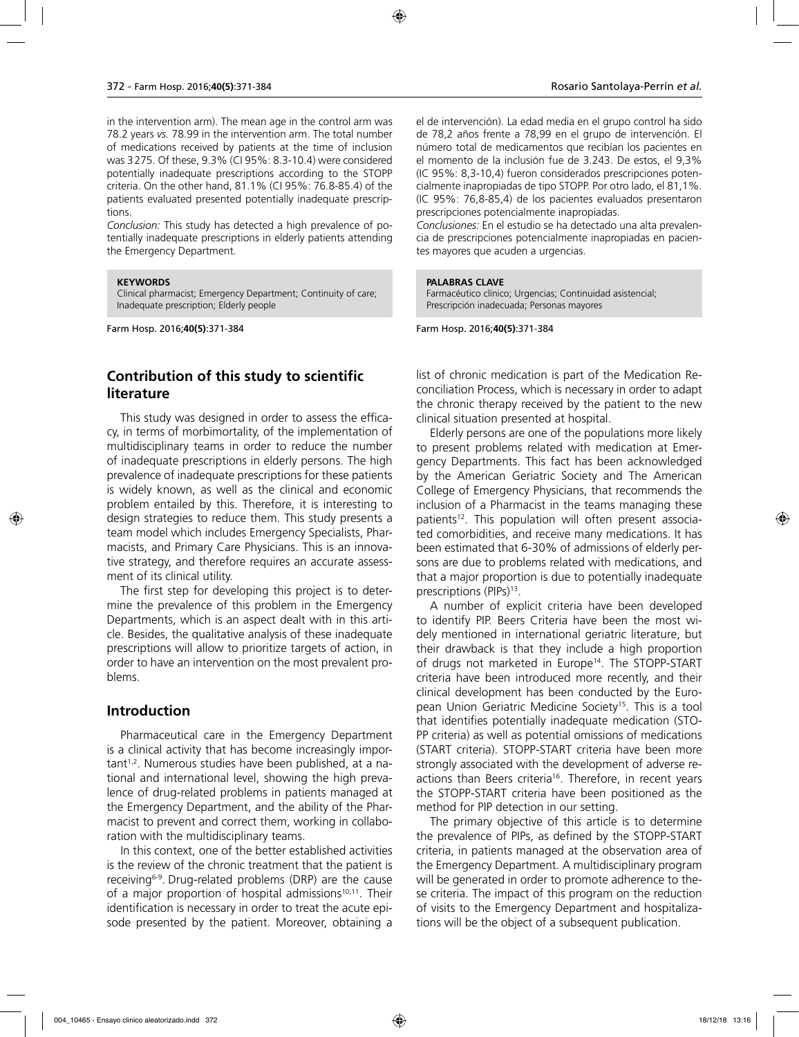in the intervention arm). The mean age in the control arm was 78.2 years *vs.* 78.99 in the intervention arm. The total number of medications received by patients at the time of inclusion was 3275. Of these, 9.3% (CI 95%: 8.3-10.4) were considered potentially inadequate prescriptions according to the STOPP criteria. On the other hand, 81.1% (CI 95%: 76.8-85.4) of the patients evaluated presented potentially inadequate prescriptions.

*Conclusion:* This study has detected a high prevalence of potentially inadequate prescriptions in elderly patients attending the Emergency Department.

#### **KEYWORDS**

Clinical pharmacist; Emergency Department; Continuity of care; Inadequate prescription; Elderly people

Farm Hosp. 2016;**40(5)**:371-384

### **Contribution of this study to scientific literature**

This study was designed in order to assess the efficacy, in terms of morbimortality, of the implementation of multidisciplinary teams in order to reduce the number of inadequate prescriptions in elderly persons. The high prevalence of inadequate prescriptions for these patients is widely known, as well as the clinical and economic problem entailed by this. Therefore, it is interesting to design strategies to reduce them. This study presents a team model which includes Emergency Specialists, Pharmacists, and Primary Care Physicians. This is an innovative strategy, and therefore requires an accurate assessment of its clinical utility.

The first step for developing this project is to determine the prevalence of this problem in the Emergency Departments, which is an aspect dealt with in this article. Besides, the qualitative analysis of these inadequate prescriptions will allow to prioritize targets of action, in order to have an intervention on the most prevalent problems.

#### **Introduction**

Pharmaceutical care in the Emergency Department is a clinical activity that has become increasingly important1,2. Numerous studies have been published, at a national and international level, showing the high prevalence of drug-related problems in patients managed at the Emergency Department, and the ability of the Pharmacist to prevent and correct them, working in collaboration with the multidisciplinary teams.

In this context, one of the better established activities is the review of the chronic treatment that the patient is receiving6-9. Drug-related problems (DRP) are the cause of a major proportion of hospital admissions $10,11$ . Their identification is necessary in order to treat the acute episode presented by the patient. Moreover, obtaining a el de intervención). La edad media en el grupo control ha sido de 78,2 años frente a 78,99 en el grupo de intervención. El número total de medicamentos que recibían los pacientes en el momento de la inclusión fue de 3.243. De estos, el 9,3% (IC 95%: 8,3-10,4) fueron considerados prescripciones potencialmente inapropiadas de tipo STOPP. Por otro lado, el 81,1%. (IC 95%: 76,8-85,4) de los pacientes evaluados presentaron prescripciones potencialmente inapropiadas.

*Conclusiones:* En el estudio se ha detectado una alta prevalencia de prescripciones potencialmente inapropiadas en pacientes mayores que acuden a urgencias.

#### **PALABRAS CLAVE**

Farmacéutico clínico; Urgencias; Continuidad asistencial; Prescripción inadecuada; Personas mayores

Farm Hosp. 2016;**40(5)**:371-384

list of chronic medication is part of the Medication Reconciliation Process, which is necessary in order to adapt the chronic therapy received by the patient to the new clinical situation presented at hospital.

Elderly persons are one of the populations more likely to present problems related with medication at Emergency Departments. This fact has been acknowledged by the American Geriatric Society and The American College of Emergency Physicians, that recommends the inclusion of a Pharmacist in the teams managing these patients<sup>12</sup>. This population will often present associated comorbidities, and receive many medications. It has been estimated that 6-30% of admissions of elderly persons are due to problems related with medications, and that a major proportion is due to potentially inadequate prescriptions (PIPs)<sup>13</sup>.

A number of explicit criteria have been developed to identify PIP. Beers Criteria have been the most widely mentioned in international geriatric literature, but their drawback is that they include a high proportion of drugs not marketed in Europe<sup>14</sup>. The STOPP-START criteria have been introduced more recently, and their clinical development has been conducted by the European Union Geriatric Medicine Society<sup>15</sup>. This is a tool that identifies potentially inadequate medication (STO-PP criteria) as well as potential omissions of medications (START criteria). STOPP-START criteria have been more strongly associated with the development of adverse reactions than Beers criteria<sup>16</sup>. Therefore, in recent years the STOPP-START criteria have been positioned as the method for PIP detection in our setting.

The primary objective of this article is to determine the prevalence of PIPs, as defined by the STOPP-START criteria, in patients managed at the observation area of the Emergency Department. A multidisciplinary program will be generated in order to promote adherence to these criteria. The impact of this program on the reduction of visits to the Emergency Department and hospitalizations will be the object of a subsequent publication.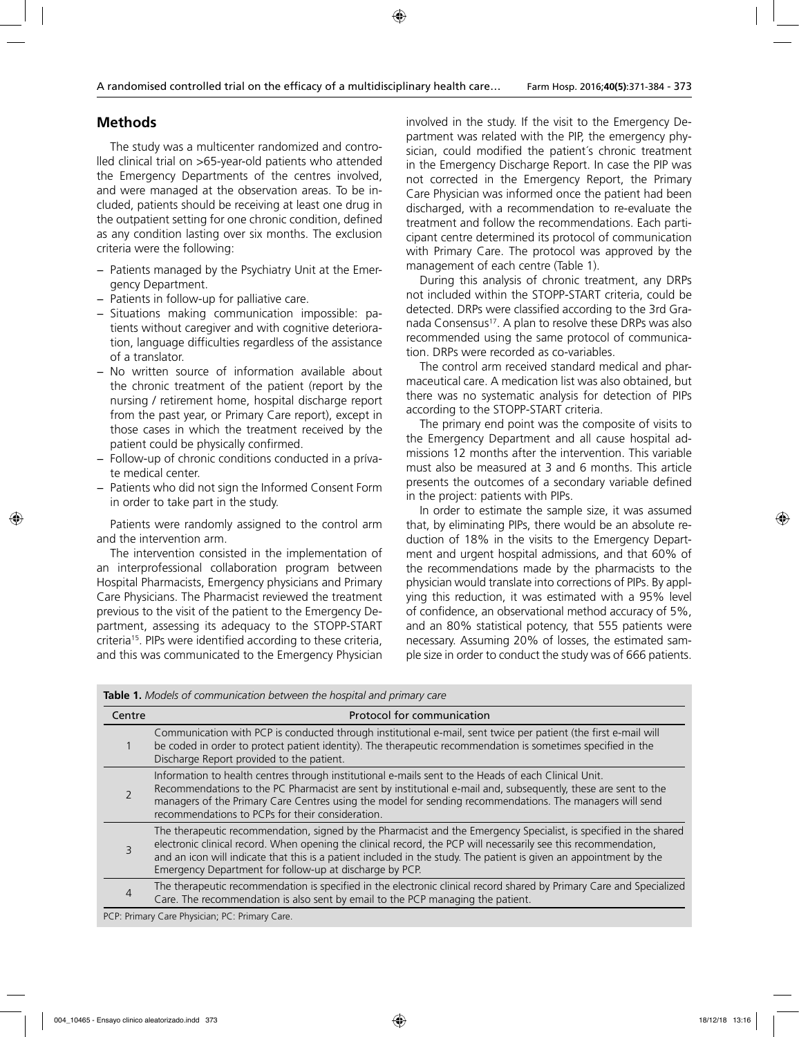### **Methods**

The study was a multicenter randomized and controlled clinical trial on >65-year-old patients who attended the Emergency Departments of the centres involved, and were managed at the observation areas. To be included, patients should be receiving at least one drug in the outpatient setting for one chronic condition, defined as any condition lasting over six months. The exclusion criteria were the following:

- − Patients managed by the Psychiatry Unit at the Emergency Department.
- − Patients in follow-up for palliative care.
- − Situations making communication impossible: patients without caregiver and with cognitive deterioration, language difficulties regardless of the assistance of a translator.
- − No written source of information available about the chronic treatment of the patient (report by the nursing / retirement home, hospital discharge report from the past year, or Primary Care report), except in those cases in which the treatment received by the patient could be physically confirmed.
- − Follow-up of chronic conditions conducted in a prívate medical center.
- − Patients who did not sign the Informed Consent Form in order to take part in the study.

Patients were randomly assigned to the control arm and the intervention arm.

The intervention consisted in the implementation of an interprofessional collaboration program between Hospital Pharmacists, Emergency physicians and Primary Care Physicians. The Pharmacist reviewed the treatment previous to the visit of the patient to the Emergency Department, assessing its adequacy to the STOPP-START criteria<sup>15</sup>. PIPs were identified according to these criteria, and this was communicated to the Emergency Physician

involved in the study. If the visit to the Emergency Department was related with the PIP, the emergency physician, could modified the patient's chronic treatment in the Emergency Discharge Report. In case the PIP was not corrected in the Emergency Report, the Primary Care Physician was informed once the patient had been discharged, with a recommendation to re-evaluate the treatment and follow the recommendations. Each participant centre determined its protocol of communication with Primary Care. The protocol was approved by the management of each centre (Table 1).

During this analysis of chronic treatment, any DRPs not included within the STOPP-START criteria, could be detected. DRPs were classified according to the 3rd Granada Consensus<sup>17</sup>. A plan to resolve these DRPs was also recommended using the same protocol of communication. DRPs were recorded as co-variables.

The control arm received standard medical and pharmaceutical care. A medication list was also obtained, but there was no systematic analysis for detection of PIPs according to the STOPP-START criteria.

The primary end point was the composite of visits to the Emergency Department and all cause hospital admissions 12 months after the intervention. This variable must also be measured at 3 and 6 months. This article presents the outcomes of a secondary variable defined in the project: patients with PIPs.

In order to estimate the sample size, it was assumed that, by eliminating PIPs, there would be an absolute reduction of 18% in the visits to the Emergency Department and urgent hospital admissions, and that 60% of the recommendations made by the pharmacists to the physician would translate into corrections of PIPs. By applying this reduction, it was estimated with a 95% level of confidence, an observational method accuracy of 5%, and an 80% statistical potency, that 555 patients were necessary. Assuming 20% of losses, the estimated sample size in order to conduct the study was of 666 patients.

| Centre | Protocol for communication                                                                                                                                                                                                                                                                                                                                                                                            |
|--------|-----------------------------------------------------------------------------------------------------------------------------------------------------------------------------------------------------------------------------------------------------------------------------------------------------------------------------------------------------------------------------------------------------------------------|
|        | Communication with PCP is conducted through institutional e-mail, sent twice per patient (the first e-mail will<br>be coded in order to protect patient identity). The therapeutic recommendation is sometimes specified in the<br>Discharge Report provided to the patient.                                                                                                                                          |
|        | Information to health centres through institutional e-mails sent to the Heads of each Clinical Unit.<br>Recommendations to the PC Pharmacist are sent by institutional e-mail and, subsequently, these are sent to the<br>managers of the Primary Care Centres using the model for sending recommendations. The managers will send<br>recommendations to PCPs for their consideration.                                |
| 3      | The therapeutic recommendation, signed by the Pharmacist and the Emergency Specialist, is specified in the shared<br>electronic clinical record. When opening the clinical record, the PCP will necessarily see this recommendation,<br>and an icon will indicate that this is a patient included in the study. The patient is given an appointment by the<br>Emergency Department for follow-up at discharge by PCP. |
| 4      | The therapeutic recommendation is specified in the electronic clinical record shared by Primary Care and Specialized<br>Care. The recommendation is also sent by email to the PCP managing the patient.                                                                                                                                                                                                               |
|        |                                                                                                                                                                                                                                                                                                                                                                                                                       |

**Table 1.** *Models of communication between the hospital and primary care* 

PCP: Primary Care Physician; PC: Primary Care.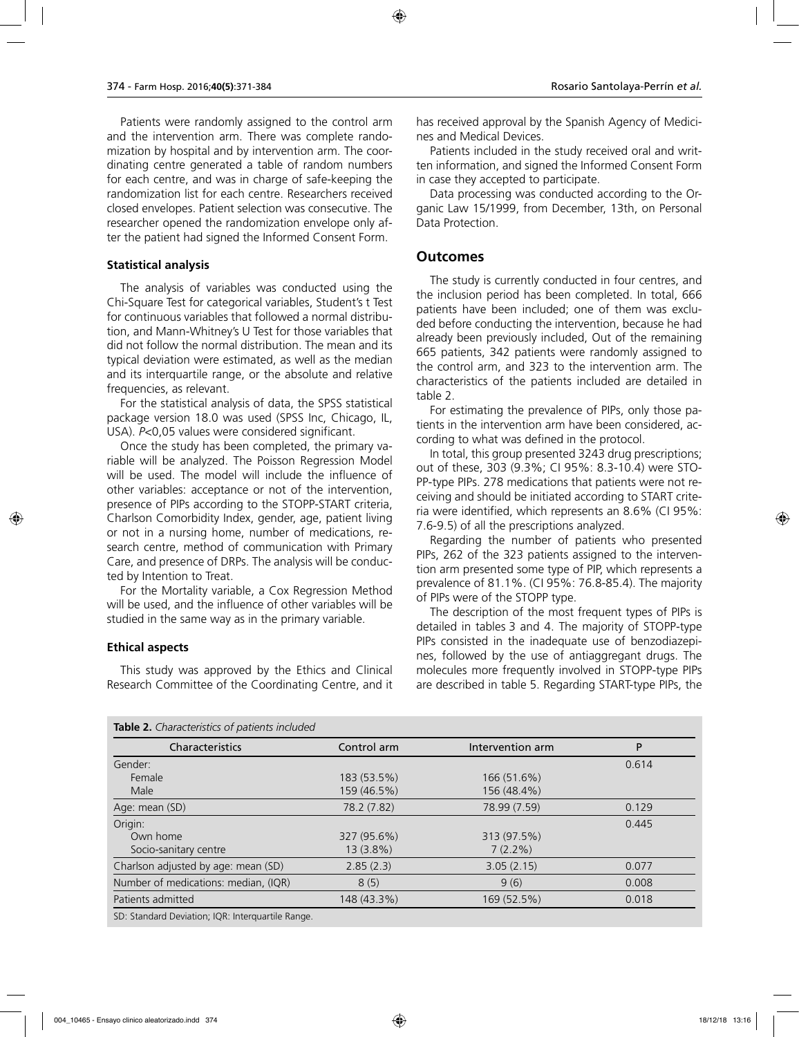Patients were randomly assigned to the control arm and the intervention arm. There was complete randomization by hospital and by intervention arm. The coordinating centre generated a table of random numbers for each centre, and was in charge of safe-keeping the randomization list for each centre. Researchers received closed envelopes. Patient selection was consecutive. The researcher opened the randomization envelope only after the patient had signed the Informed Consent Form.

#### **Statistical analysis**

The analysis of variables was conducted using the Chi-Square Test for categorical variables, Student's t Test for continuous variables that followed a normal distribution, and Mann-Whitney's U Test for those variables that did not follow the normal distribution. The mean and its typical deviation were estimated, as well as the median and its interquartile range, or the absolute and relative frequencies, as relevant.

For the statistical analysis of data, the SPSS statistical package version 18.0 was used (SPSS Inc, Chicago, IL, USA). *P*<0,05 values were considered significant.

Once the study has been completed, the primary variable will be analyzed. The Poisson Regression Model will be used. The model will include the influence of other variables: acceptance or not of the intervention, presence of PIPs according to the STOPP-START criteria, Charlson Comorbidity Index, gender, age, patient living or not in a nursing home, number of medications, research centre, method of communication with Primary Care, and presence of DRPs. The analysis will be conducted by Intention to Treat.

For the Mortality variable, a Cox Regression Method will be used, and the influence of other variables will be studied in the same way as in the primary variable.

#### **Ethical aspects**

This study was approved by the Ethics and Clinical Research Committee of the Coordinating Centre, and it

has received approval by the Spanish Agency of Medicines and Medical Devices.

Patients included in the study received oral and written information, and signed the Informed Consent Form in case they accepted to participate.

Data processing was conducted according to the Organic Law 15/1999, from December, 13th, on Personal Data Protection.

#### **Outcomes**

The study is currently conducted in four centres, and the inclusion period has been completed. In total, 666 patients have been included; one of them was excluded before conducting the intervention, because he had already been previously included, Out of the remaining 665 patients, 342 patients were randomly assigned to the control arm, and 323 to the intervention arm. The characteristics of the patients included are detailed in table 2.

For estimating the prevalence of PIPs, only those patients in the intervention arm have been considered, according to what was defined in the protocol.

In total, this group presented 3243 drug prescriptions; out of these, 303 (9.3%; CI 95%: 8.3-10.4) were STO-PP-type PIPs. 278 medications that patients were not receiving and should be initiated according to START criteria were identified, which represents an 8.6% (CI 95%: 7.6-9.5) of all the prescriptions analyzed.

Regarding the number of patients who presented PIPs, 262 of the 323 patients assigned to the intervention arm presented some type of PIP, which represents a prevalence of 81.1%. (CI 95%: 76.8-85.4). The majority of PIPs were of the STOPP type.

The description of the most frequent types of PIPs is detailed in tables 3 and 4. The majority of STOPP-type PIPs consisted in the inadequate use of benzodiazepines, followed by the use of antiaggregant drugs. The molecules more frequently involved in STOPP-type PIPs are described in table 5. Regarding START-type PIPs, the

| Characteristics                      | Control arm | Intervention arm | P     |
|--------------------------------------|-------------|------------------|-------|
| Gender:                              |             |                  | 0.614 |
| Female                               | 183 (53.5%) | 166 (51.6%)      |       |
| Male                                 | 159 (46.5%) | 156 (48.4%)      |       |
| Age: mean (SD)                       | 78.2 (7.82) | 78.99 (7.59)     | 0.129 |
| Origin:                              |             |                  | 0.445 |
| Own home                             | 327 (95.6%) | 313 (97.5%)      |       |
| Socio-sanitary centre                | $13(3.8\%)$ | $7(2.2\%)$       |       |
| Charlson adjusted by age: mean (SD)  | 2.85(2.3)   | 3.05(2.15)       | 0.077 |
| Number of medications: median, (IQR) | 8(5)        | 9(6)             | 0.008 |
| Patients admitted                    | 148 (43.3%) | 169 (52.5%)      | 0.018 |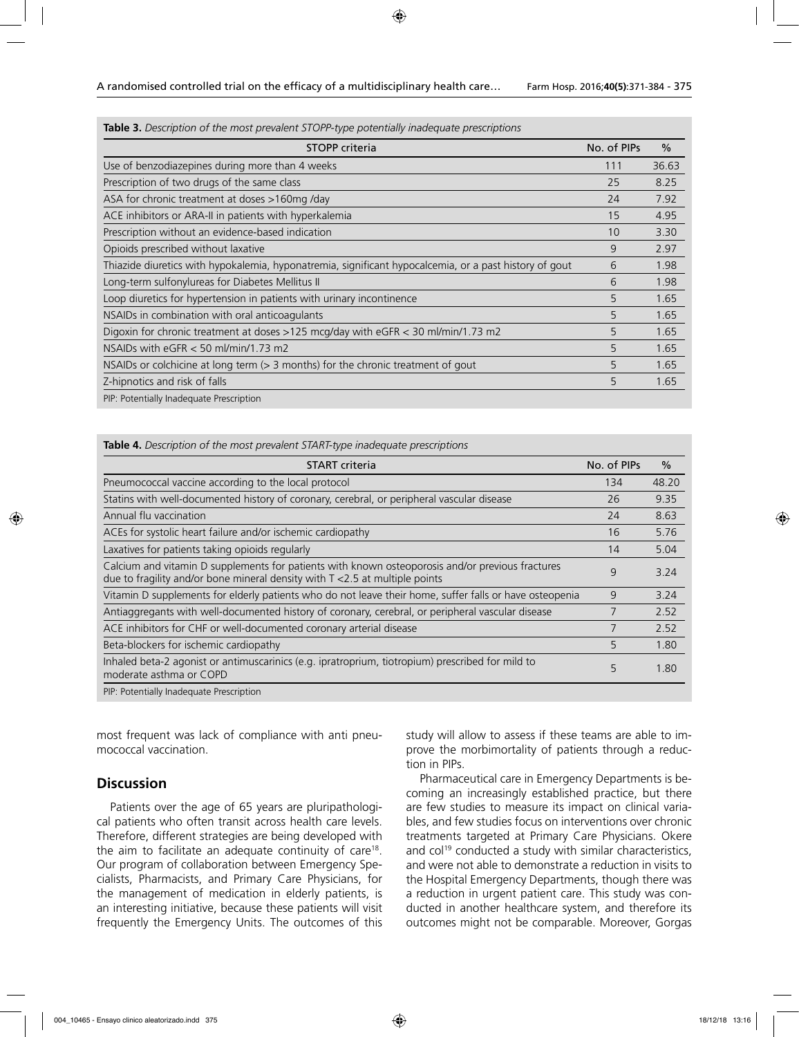**Table 3.** *Description of the most prevalent STOPP-type potentially inadequate prescriptions*

| <b>STOPP</b> criteria                                                                                  | No. of PIPs | $\frac{0}{0}$ |
|--------------------------------------------------------------------------------------------------------|-------------|---------------|
| Use of benzodiazepines during more than 4 weeks                                                        | 111         | 36.63         |
| Prescription of two drugs of the same class                                                            | 25          | 8.25          |
| ASA for chronic treatment at doses >160mg/day                                                          | 24          | 7.92          |
| ACE inhibitors or ARA-II in patients with hyperkalemia                                                 | 15          | 4.95          |
| Prescription without an evidence-based indication                                                      | 10          | 3.30          |
| Opioids prescribed without laxative                                                                    | 9           | 2.97          |
| Thiazide diuretics with hypokalemia, hyponatremia, significant hypocalcemia, or a past history of gout | 6           | 1.98          |
| Long-term sulfonylureas for Diabetes Mellitus II                                                       | 6           | 1.98          |
| Loop diuretics for hypertension in patients with urinary incontinence                                  | 5           | 1.65          |
| NSAIDs in combination with oral anticoagulants                                                         | 5           | 1.65          |
| Digoxin for chronic treatment at doses >125 mcg/day with eGFR < 30 ml/min/1.73 m2                      | 5           | 1.65          |
| NSAIDs with $e$ GFR $<$ 50 ml/min/1.73 m2                                                              | 5           | 1.65          |
| NSAIDs or colchicine at long term (> 3 months) for the chronic treatment of gout                       | 5           | 1.65          |
| Z-hipnotics and risk of falls                                                                          | 5           | 1.65          |
| PIP: Potentially Inadequate Prescription                                                               |             |               |

#### **Table 4.** *Description of the most prevalent START-type inadequate prescriptions*

| <b>START</b> criteria                                                                                                                                                              | No. of PIPs | $\frac{0}{0}$ |
|------------------------------------------------------------------------------------------------------------------------------------------------------------------------------------|-------------|---------------|
| Pneumococcal vaccine according to the local protocol                                                                                                                               | 134         | 48.20         |
| Statins with well-documented history of coronary, cerebral, or peripheral vascular disease                                                                                         | 26          | 9.35          |
| Annual flu vaccination                                                                                                                                                             | 24          | 8.63          |
| ACEs for systolic heart failure and/or ischemic cardiopathy                                                                                                                        | 16          | 5.76          |
| Laxatives for patients taking opioids regularly                                                                                                                                    | 14          | 5.04          |
| Calcium and vitamin D supplements for patients with known osteoporosis and/or previous fractures<br>due to fragility and/or bone mineral density with $T < 2.5$ at multiple points | 9           | 3.24          |
| Vitamin D supplements for elderly patients who do not leave their home, suffer falls or have osteopenia                                                                            | 9           | 3.24          |
| Antiaggregants with well-documented history of coronary, cerebral, or peripheral vascular disease                                                                                  |             | 2.52          |
| ACE inhibitors for CHF or well-documented coronary arterial disease                                                                                                                |             | 2.52          |
| Beta-blockers for ischemic cardiopathy                                                                                                                                             | 5           | 1.80          |
| Inhaled beta-2 agonist or antimuscarinics (e.g. ipratroprium, tiotropium) prescribed for mild to<br>moderate asthma or COPD                                                        | 5           | 1.80          |

PIP: Potentially Inadequate Prescription

most frequent was lack of compliance with anti pneumococcal vaccination.

#### **Discussion**

Patients over the age of 65 years are pluripathological patients who often transit across health care levels. Therefore, different strategies are being developed with the aim to facilitate an adequate continuity of care<sup>18</sup>. Our program of collaboration between Emergency Specialists, Pharmacists, and Primary Care Physicians, for the management of medication in elderly patients, is an interesting initiative, because these patients will visit frequently the Emergency Units. The outcomes of this

study will allow to assess if these teams are able to improve the morbimortality of patients through a reduction in PIPs.

Pharmaceutical care in Emergency Departments is becoming an increasingly established practice, but there are few studies to measure its impact on clinical variables, and few studies focus on interventions over chronic treatments targeted at Primary Care Physicians. Okere and col<sup>19</sup> conducted a study with similar characteristics, and were not able to demonstrate a reduction in visits to the Hospital Emergency Departments, though there was a reduction in urgent patient care. This study was conducted in another healthcare system, and therefore its outcomes might not be comparable. Moreover, Gorgas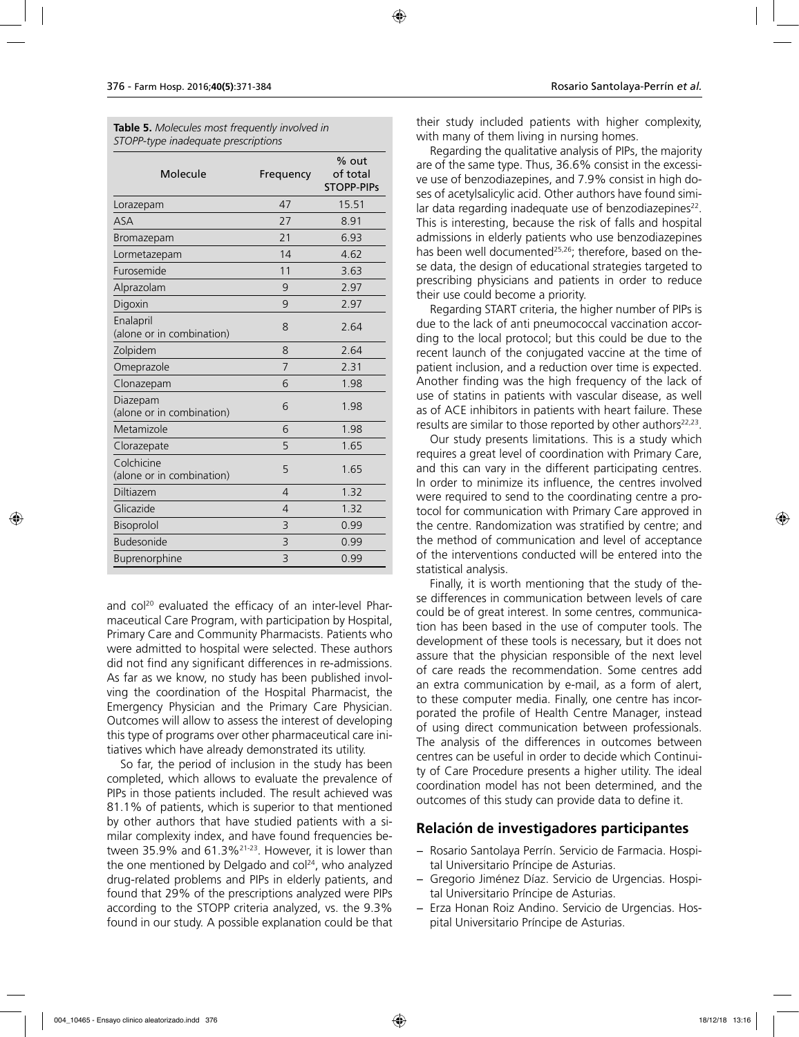| <b>Table 5.</b> Molecules most frequently involved in |  |  |
|-------------------------------------------------------|--|--|
| STOPP-type inadequate prescriptions                   |  |  |

| Molecule                                | Frequency      | % out<br>of total<br><b>STOPP-PIPS</b> |
|-----------------------------------------|----------------|----------------------------------------|
| Lorazepam                               | 47             | 15.51                                  |
| <b>ASA</b>                              | 27             | 8.91                                   |
| Bromazepam                              | 21             | 6.93                                   |
| Lormetazepam                            | 14             | 4.62                                   |
| Furosemide                              | 11             | 3.63                                   |
| Alprazolam                              | 9              | 2.97                                   |
| Digoxin                                 | 9              | 2.97                                   |
| Enalapril<br>(alone or in combination)  | 8              | 2.64                                   |
| Zolpidem                                | 8              | 2.64                                   |
| Omeprazole                              | 7              | 2.31                                   |
| Clonazepam                              | 6              | 1.98                                   |
| Diazepam<br>(alone or in combination)   | 6              | 1.98                                   |
| Metamizole                              | 6              | 1.98                                   |
| Clorazepate                             | 5              | 1.65                                   |
| Colchicine<br>(alone or in combination) | 5              | 1.65                                   |
| Diltiazem                               | $\overline{4}$ | 1.32                                   |
| Glicazide                               | $\overline{4}$ | 1.32                                   |
| Bisoprolol                              | 3              | 0.99                                   |
| <b>Budesonide</b>                       | 3              | 0.99                                   |
| Buprenorphine                           | 3              | 0.99                                   |

and col<sup>20</sup> evaluated the efficacy of an inter-level Pharmaceutical Care Program, with participation by Hospital, Primary Care and Community Pharmacists. Patients who were admitted to hospital were selected. These authors did not find any significant differences in re-admissions. As far as we know, no study has been published involving the coordination of the Hospital Pharmacist, the Emergency Physician and the Primary Care Physician. Outcomes will allow to assess the interest of developing this type of programs over other pharmaceutical care initiatives which have already demonstrated its utility.

So far, the period of inclusion in the study has been completed, which allows to evaluate the prevalence of PIPs in those patients included. The result achieved was 81.1% of patients, which is superior to that mentioned by other authors that have studied patients with a similar complexity index, and have found frequencies between 35.9% and 61.3%21-23. However, it is lower than the one mentioned by Delgado and col<sup>24</sup>, who analyzed drug-related problems and PIPs in elderly patients, and found that 29% of the prescriptions analyzed were PIPs according to the STOPP criteria analyzed, vs. the 9.3% found in our study. A possible explanation could be that

their study included patients with higher complexity, with many of them living in nursing homes.

Regarding the qualitative analysis of PIPs, the majority are of the same type. Thus, 36.6% consist in the excessive use of benzodiazepines, and 7.9% consist in high doses of acetylsalicylic acid. Other authors have found similar data regarding inadequate use of benzodiazepines<sup>22</sup>. This is interesting, because the risk of falls and hospital admissions in elderly patients who use benzodiazepines has been well documented<sup>25,26</sup>; therefore, based on these data, the design of educational strategies targeted to prescribing physicians and patients in order to reduce their use could become a priority.

Regarding START criteria, the higher number of PIPs is due to the lack of anti pneumococcal vaccination according to the local protocol; but this could be due to the recent launch of the conjugated vaccine at the time of patient inclusion, and a reduction over time is expected. Another finding was the high frequency of the lack of use of statins in patients with vascular disease, as well as of ACE inhibitors in patients with heart failure. These results are similar to those reported by other authors $22,23$ .

Our study presents limitations. This is a study which requires a great level of coordination with Primary Care, and this can vary in the different participating centres. In order to minimize its influence, the centres involved were required to send to the coordinating centre a protocol for communication with Primary Care approved in the centre. Randomization was stratified by centre; and the method of communication and level of acceptance of the interventions conducted will be entered into the statistical analysis.

Finally, it is worth mentioning that the study of these differences in communication between levels of care could be of great interest. In some centres, communication has been based in the use of computer tools. The development of these tools is necessary, but it does not assure that the physician responsible of the next level of care reads the recommendation. Some centres add an extra communication by e-mail, as a form of alert, to these computer media. Finally, one centre has incorporated the profile of Health Centre Manager, instead of using direct communication between professionals. The analysis of the differences in outcomes between centres can be useful in order to decide which Continuity of Care Procedure presents a higher utility. The ideal coordination model has not been determined, and the outcomes of this study can provide data to define it.

## **Relación de investigadores participantes**

- − Rosario Santolaya Perrín. Servicio de Farmacia. Hospital Universitario Príncipe de Asturias.
- − Gregorio Jiménez Díaz. Servicio de Urgencias. Hospital Universitario Príncipe de Asturias.
- − Erza Honan Roiz Andino. Servicio de Urgencias. Hospital Universitario Príncipe de Asturias.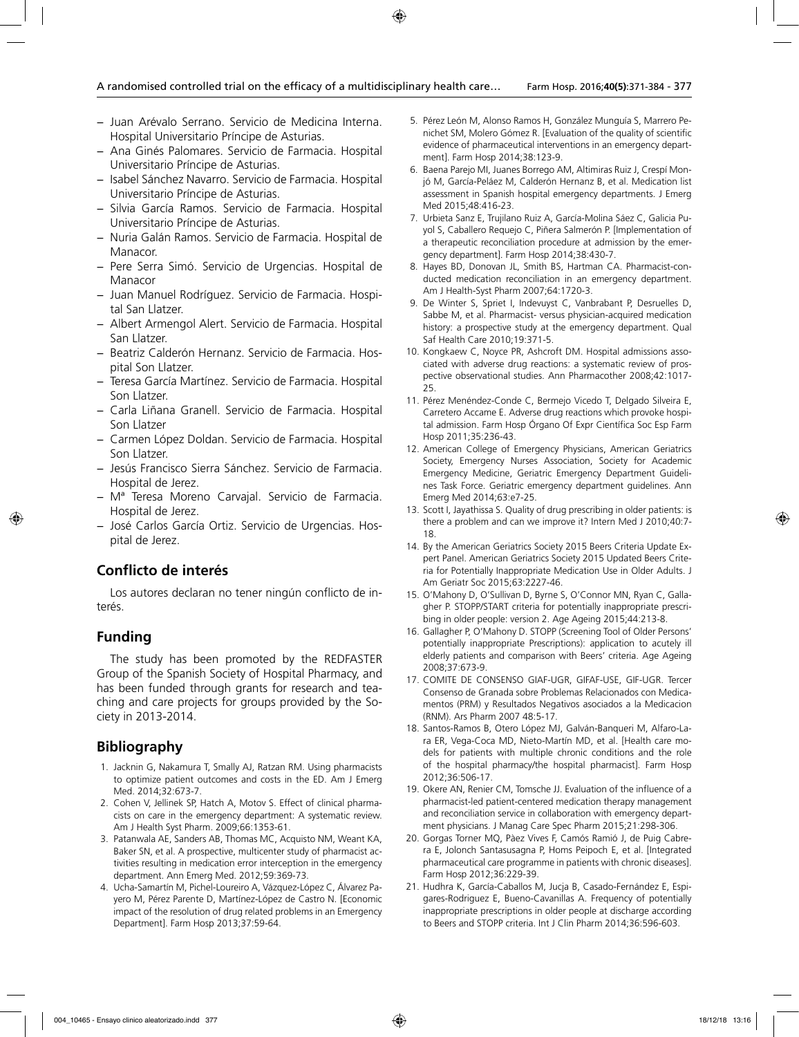- − Juan Arévalo Serrano. Servicio de Medicina Interna. Hospital Universitario Príncipe de Asturias.
- − Ana Ginés Palomares. Servicio de Farmacia. Hospital Universitario Príncipe de Asturias.
- − Isabel Sánchez Navarro. Servicio de Farmacia. Hospital Universitario Príncipe de Asturias.
- − Silvia García Ramos. Servicio de Farmacia. Hospital Universitario Príncipe de Asturias.
- − Nuria Galán Ramos. Servicio de Farmacia. Hospital de Manacor.
- − Pere Serra Simó. Servicio de Urgencias. Hospital de Manacor
- − Juan Manuel Rodríguez. Servicio de Farmacia. Hospital San Llatzer.
- − Albert Armengol Alert. Servicio de Farmacia. Hospital San Llatzer.
- − Beatriz Calderón Hernanz. Servicio de Farmacia. Hospital Son Llatzer.
- − Teresa García Martínez. Servicio de Farmacia. Hospital Son Llatzer.
- − Carla Liñana Granell. Servicio de Farmacia. Hospital Son Llatzer
- − Carmen López Doldan. Servicio de Farmacia. Hospital Son Llatzer.
- − Jesús Francisco Sierra Sánchez. Servicio de Farmacia. Hospital de Jerez.
- − Mª Teresa Moreno Carvajal. Servicio de Farmacia. Hospital de Jerez.
- − José Carlos García Ortiz. Servicio de Urgencias. Hospital de Jerez.

## **Conflicto de interés**

Los autores declaran no tener ningún conflicto de interés.

#### **Funding**

The study has been promoted by the REDFASTER Group of the Spanish Society of Hospital Pharmacy, and has been funded through grants for research and teaching and care projects for groups provided by the Society in 2013-2014.

## **Bibliography**

- 1. Jacknin G, Nakamura T, Smally AJ, Ratzan RM. Using pharmacists to optimize patient outcomes and costs in the ED. Am J Emerg Med. 2014;32:673-7.
- 2. Cohen V, Jellinek SP, Hatch A, Motov S. Effect of clinical pharmacists on care in the emergency department: A systematic review. Am J Health Syst Pharm. 2009;66:1353-61.
- 3. Patanwala AE, Sanders AB, Thomas MC, Acquisto NM, Weant KA, Baker SN, et al. A prospective, multicenter study of pharmacist activities resulting in medication error interception in the emergency department. Ann Emerg Med. 2012;59:369-73.
- 4. Ucha-Samartín M, Pichel-Loureiro A, Vázquez-López C, Álvarez Payero M, Pérez Parente D, Martínez-López de Castro N. [Economic impact of the resolution of drug related problems in an Emergency Department]. Farm Hosp 2013;37:59-64.
- 5. Pérez León M, Alonso Ramos H, González Munguía S, Marrero Penichet SM, Molero Gómez R. [Evaluation of the quality of scientific evidence of pharmaceutical interventions in an emergency department]. Farm Hosp 2014;38:123-9.
- 6. Baena Parejo MI, Juanes Borrego AM, Altimiras Ruiz J, Crespí Monjó M, García-Peláez M, Calderón Hernanz B, et al. Medication list assessment in Spanish hospital emergency departments. J Emerg Med 2015;48:416-23.
- 7. Urbieta Sanz E, Trujilano Ruiz A, García-Molina Sáez C, Galicia Puyol S, Caballero Requejo C, Piñera Salmerón P. [Implementation of a therapeutic reconciliation procedure at admission by the emergency department]. Farm Hosp 2014;38:430-7.
- 8. Hayes BD, Donovan JL, Smith BS, Hartman CA. Pharmacist-conducted medication reconciliation in an emergency department. Am J Health-Syst Pharm 2007;64:1720-3.
- 9. De Winter S, Spriet I, Indevuyst C, Vanbrabant P, Desruelles D, Sabbe M, et al. Pharmacist- versus physician-acquired medication history: a prospective study at the emergency department. Qual Saf Health Care 2010;19:371-5.
- 10. Kongkaew C, Noyce PR, Ashcroft DM. Hospital admissions associated with adverse drug reactions: a systematic review of prospective observational studies. Ann Pharmacother 2008;42:1017- 25.
- 11. Pérez Menéndez-Conde C, Bermejo Vicedo T, Delgado Silveira E, Carretero Accame E. Adverse drug reactions which provoke hospital admission. Farm Hosp Órgano Of Expr Científica Soc Esp Farm Hosp 2011;35:236-43.
- 12. American College of Emergency Physicians, American Geriatrics Society, Emergency Nurses Association, Society for Academic Emergency Medicine, Geriatric Emergency Department Guidelines Task Force. Geriatric emergency department guidelines. Ann Emerg Med 2014;63:e7-25.
- 13. Scott I, Jayathissa S. Quality of drug prescribing in older patients: is there a problem and can we improve it? Intern Med J 2010;40:7- 18.
- 14. By the American Geriatrics Society 2015 Beers Criteria Update Expert Panel. American Geriatrics Society 2015 Updated Beers Criteria for Potentially Inappropriate Medication Use in Older Adults. J Am Geriatr Soc 2015;63:2227-46.
- 15. O'Mahony D, O'Sullivan D, Byrne S, O'Connor MN, Ryan C, Gallagher P. STOPP/START criteria for potentially inappropriate prescribing in older people: version 2. Age Ageing 2015;44:213-8.
- 16. Gallagher P, O'Mahony D. STOPP (Screening Tool of Older Persons' potentially inappropriate Prescriptions): application to acutely ill elderly patients and comparison with Beers' criteria. Age Ageing 2008;37:673-9.
- 17. COMITE DE CONSENSO GIAF-UGR, GIFAF-USE, GIF-UGR. Tercer Consenso de Granada sobre Problemas Relacionados con Medicamentos (PRM) y Resultados Negativos asociados a la Medicacion (RNM). Ars Pharm 2007 48:5-17.
- 18. Santos-Ramos B, Otero López MJ, Galván-Banqueri M, Alfaro-Lara ER, Vega-Coca MD, Nieto-Martín MD, et al. [Health care models for patients with multiple chronic conditions and the role of the hospital pharmacy/the hospital pharmacist]. Farm Hosp 2012;36:506-17.
- 19. Okere AN, Renier CM, Tomsche JJ. Evaluation of the influence of a pharmacist-led patient-centered medication therapy management and reconciliation service in collaboration with emergency department physicians. J Manag Care Spec Pharm 2015;21:298-306.
- 20. Gorgas Torner MQ, Pàez Vives F, Camós Ramió J, de Puig Cabrera E, Jolonch Santasusagna P, Homs Peipoch E, et al. [Integrated pharmaceutical care programme in patients with chronic diseases]. Farm Hosp 2012;36:229-39.
- 21. Hudhra K, García-Caballos M, Jucja B, Casado-Fernández E, Espigares-Rodriguez E, Bueno-Cavanillas A. Frequency of potentially inappropriate prescriptions in older people at discharge according to Beers and STOPP criteria. Int J Clin Pharm 2014;36:596-603.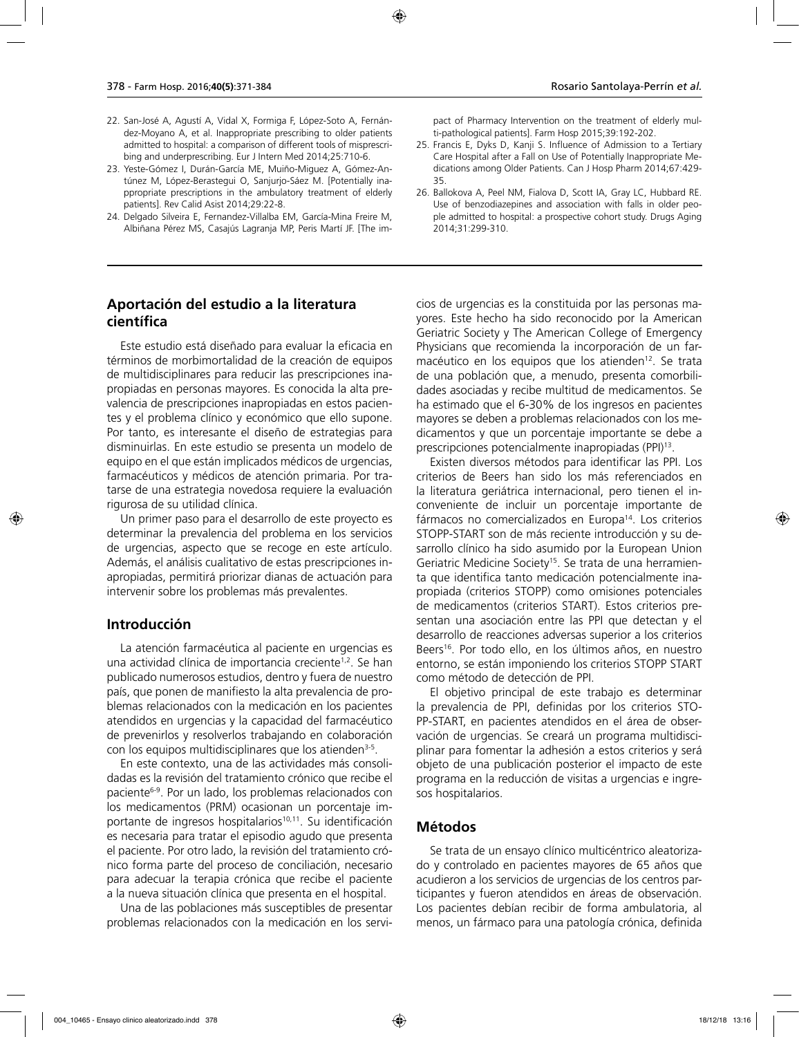- 22. San-José A, Agustí A, Vidal X, Formiga F, López-Soto A, Fernández-Moyano A, et al. Inappropriate prescribing to older patients admitted to hospital: a comparison of different tools of misprescribing and underprescribing. Eur J Intern Med 2014;25:710-6.
- 23. Yeste-Gómez I, Durán-García ME, Muiño-Miguez A, Gómez-Antúnez M, López-Berastegui O, Sanjurjo-Sáez M. [Potentially inappropriate prescriptions in the ambulatory treatment of elderly patients]. Rev Calid Asist 2014;29:22-8.
- 24. Delgado Silveira E, Fernandez-Villalba EM, García-Mina Freire M, Albiñana Pérez MS, Casajús Lagranja MP, Peris Martí JF. [The im-

### **Aportación del estudio a la literatura científica**

Este estudio está diseñado para evaluar la eficacia en términos de morbimortalidad de la creación de equipos de multidisciplinares para reducir las prescripciones inapropiadas en personas mayores. Es conocida la alta prevalencia de prescripciones inapropiadas en estos pacientes y el problema clínico y económico que ello supone. Por tanto, es interesante el diseño de estrategias para disminuirlas. En este estudio se presenta un modelo de equipo en el que están implicados médicos de urgencias, farmacéuticos y médicos de atención primaria. Por tratarse de una estrategia novedosa requiere la evaluación rigurosa de su utilidad clínica.

Un primer paso para el desarrollo de este proyecto es determinar la prevalencia del problema en los servicios de urgencias, aspecto que se recoge en este artículo. Además, el análisis cualitativo de estas prescripciones inapropiadas, permitirá priorizar dianas de actuación para intervenir sobre los problemas más prevalentes.

#### **Introducción**

La atención farmacéutica al paciente en urgencias es una actividad clínica de importancia creciente1,2. Se han publicado numerosos estudios, dentro y fuera de nuestro país, que ponen de manifiesto la alta prevalencia de problemas relacionados con la medicación en los pacientes atendidos en urgencias y la capacidad del farmacéutico de prevenirlos y resolverlos trabajando en colaboración con los equipos multidisciplinares que los atienden<sup>3-5</sup>.

En este contexto, una de las actividades más consolidadas es la revisión del tratamiento crónico que recibe el paciente6-9. Por un lado, los problemas relacionados con los medicamentos (PRM) ocasionan un porcentaje importante de ingresos hospitalarios<sup>10,11</sup>. Su identificación es necesaria para tratar el episodio agudo que presenta el paciente. Por otro lado, la revisión del tratamiento crónico forma parte del proceso de conciliación, necesario para adecuar la terapia crónica que recibe el paciente a la nueva situación clínica que presenta en el hospital.

Una de las poblaciones más susceptibles de presentar problemas relacionados con la medicación en los servipact of Pharmacy Intervention on the treatment of elderly multi-pathological patients]. Farm Hosp 2015;39:192-202.

- 25. Francis E, Dyks D, Kanji S. Influence of Admission to a Tertiary Care Hospital after a Fall on Use of Potentially Inappropriate Medications among Older Patients. Can J Hosp Pharm 2014;67:429- 35.
- 26. Ballokova A, Peel NM, Fialova D, Scott IA, Gray LC, Hubbard RE. Use of benzodiazepines and association with falls in older people admitted to hospital: a prospective cohort study. Drugs Aging 2014;31:299-310.

cios de urgencias es la constituida por las personas mayores. Este hecho ha sido reconocido por la American Geriatric Society y The American College of Emergency Physicians que recomienda la incorporación de un farmacéutico en los equipos que los atienden<sup>12</sup>. Se trata de una población que, a menudo, presenta comorbilidades asociadas y recibe multitud de medicamentos. Se ha estimado que el 6-30% de los ingresos en pacientes mayores se deben a problemas relacionados con los medicamentos y que un porcentaje importante se debe a prescripciones potencialmente inapropiadas (PPI)13.

Existen diversos métodos para identificar las PPI. Los criterios de Beers han sido los más referenciados en la literatura geriátrica internacional, pero tienen el inconveniente de incluir un porcentaje importante de fármacos no comercializados en Europa<sup>14</sup>. Los criterios STOPP-START son de más reciente introducción y su desarrollo clínico ha sido asumido por la European Union Geriatric Medicine Society<sup>15</sup>. Se trata de una herramienta que identifica tanto medicación potencialmente inapropiada (criterios STOPP) como omisiones potenciales de medicamentos (criterios START). Estos criterios presentan una asociación entre las PPI que detectan y el desarrollo de reacciones adversas superior a los criterios Beers<sup>16</sup>. Por todo ello, en los últimos años, en nuestro entorno, se están imponiendo los criterios STOPP START como método de detección de PPI.

El objetivo principal de este trabajo es determinar la prevalencia de PPI, definidas por los criterios STO-PP-START, en pacientes atendidos en el área de observación de urgencias. Se creará un programa multidisciplinar para fomentar la adhesión a estos criterios y será objeto de una publicación posterior el impacto de este programa en la reducción de visitas a urgencias e ingresos hospitalarios.

#### **Métodos**

Se trata de un ensayo clínico multicéntrico aleatorizado y controlado en pacientes mayores de 65 años que acudieron a los servicios de urgencias de los centros participantes y fueron atendidos en áreas de observación. Los pacientes debían recibir de forma ambulatoria, al menos, un fármaco para una patología crónica, definida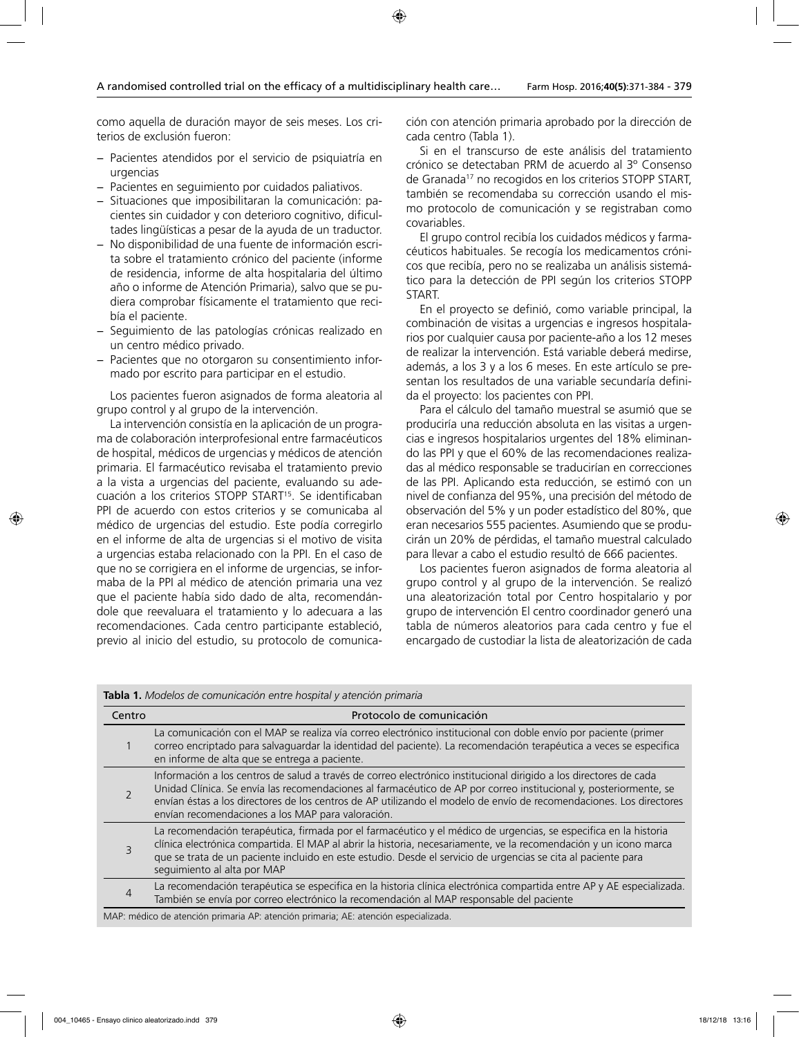como aquella de duración mayor de seis meses. Los criterios de exclusión fueron:

- − Pacientes atendidos por el servicio de psiquiatría en urgencias
- − Pacientes en seguimiento por cuidados paliativos.
- − Situaciones que imposibilitaran la comunicación: pacientes sin cuidador y con deterioro cognitivo, dificultades lingüísticas a pesar de la ayuda de un traductor.
- − No disponibilidad de una fuente de información escrita sobre el tratamiento crónico del paciente (informe de residencia, informe de alta hospitalaria del último año o informe de Atención Primaria), salvo que se pudiera comprobar físicamente el tratamiento que recibía el paciente.
- − Seguimiento de las patologías crónicas realizado en un centro médico privado.
- − Pacientes que no otorgaron su consentimiento informado por escrito para participar en el estudio.

Los pacientes fueron asignados de forma aleatoria al grupo control y al grupo de la intervención.

La intervención consistía en la aplicación de un programa de colaboración interprofesional entre farmacéuticos de hospital, médicos de urgencias y médicos de atención primaria. El farmacéutico revisaba el tratamiento previo a la vista a urgencias del paciente, evaluando su adecuación a los criterios STOPP START15. Se identificaban PPI de acuerdo con estos criterios y se comunicaba al médico de urgencias del estudio. Este podía corregirlo en el informe de alta de urgencias si el motivo de visita a urgencias estaba relacionado con la PPI. En el caso de que no se corrigiera en el informe de urgencias, se informaba de la PPI al médico de atención primaria una vez que el paciente había sido dado de alta, recomendándole que reevaluara el tratamiento y lo adecuara a las recomendaciones. Cada centro participante estableció, previo al inicio del estudio, su protocolo de comunicación con atención primaria aprobado por la dirección de cada centro (Tabla 1).

Si en el transcurso de este análisis del tratamiento crónico se detectaban PRM de acuerdo al 3º Consenso de Granada<sup>17</sup> no recogidos en los criterios STOPP START, también se recomendaba su corrección usando el mismo protocolo de comunicación y se registraban como covariables.

El grupo control recibía los cuidados médicos y farmacéuticos habituales. Se recogía los medicamentos crónicos que recibía, pero no se realizaba un análisis sistemático para la detección de PPI según los criterios STOPP START.

En el proyecto se definió, como variable principal, la combinación de visitas a urgencias e ingresos hospitalarios por cualquier causa por paciente-año a los 12 meses de realizar la intervención. Está variable deberá medirse, además, a los 3 y a los 6 meses. En este artículo se presentan los resultados de una variable secundaría definida el proyecto: los pacientes con PPI.

Para el cálculo del tamaño muestral se asumió que se produciría una reducción absoluta en las visitas a urgencias e ingresos hospitalarios urgentes del 18% eliminando las PPI y que el 60% de las recomendaciones realizadas al médico responsable se traducirían en correcciones de las PPI. Aplicando esta reducción, se estimó con un nivel de confianza del 95%, una precisión del método de observación del 5% y un poder estadístico del 80%, que eran necesarios 555 pacientes. Asumiendo que se producirán un 20% de pérdidas, el tamaño muestral calculado para llevar a cabo el estudio resultó de 666 pacientes.

Los pacientes fueron asignados de forma aleatoria al grupo control y al grupo de la intervención. Se realizó una aleatorización total por Centro hospitalario y por grupo de intervención El centro coordinador generó una tabla de números aleatorios para cada centro y fue el encargado de custodiar la lista de aleatorización de cada

| Centro         | Protocolo de comunicación                                                                                                                                                                                                                                                                                                                                                                                          |
|----------------|--------------------------------------------------------------------------------------------------------------------------------------------------------------------------------------------------------------------------------------------------------------------------------------------------------------------------------------------------------------------------------------------------------------------|
|                | La comunicación con el MAP se realiza vía correo electrónico institucional con doble envío por paciente (primer<br>correo encriptado para salvaguardar la identidad del paciente). La recomendación terapéutica a veces se especifica<br>en informe de alta que se entrega a paciente.                                                                                                                             |
|                | Información a los centros de salud a través de correo electrónico institucional dirigido a los directores de cada<br>Unidad Clínica. Se envía las recomendaciones al farmacéutico de AP por correo institucional y, posteriormente, se<br>envían éstas a los directores de los centros de AP utilizando el modelo de envío de recomendaciones. Los directores<br>envían recomendaciones a los MAP para valoración. |
| 3              | La recomendación terapéutica, firmada por el farmacéutico y el médico de urgencias, se especifica en la historia<br>clínica electrónica compartida. El MAP al abrir la historia, necesariamente, ve la recomendación y un icono marca<br>que se trata de un paciente incluido en este estudio. Desde el servicio de urgencias se cita al paciente para<br>seguimiento al alta por MAP                              |
| $\overline{4}$ | La recomendación terapéutica se especifica en la historia clínica electrónica compartida entre AP y AE especializada.<br>También se envía por correo electrónico la recomendación al MAP responsable del paciente                                                                                                                                                                                                  |

**Tabla 1.** *Modelos de comunicación entre hospital y atención primaria* 

MAP: médico de atención primaria AP: atención primaria; AE: atención especializada.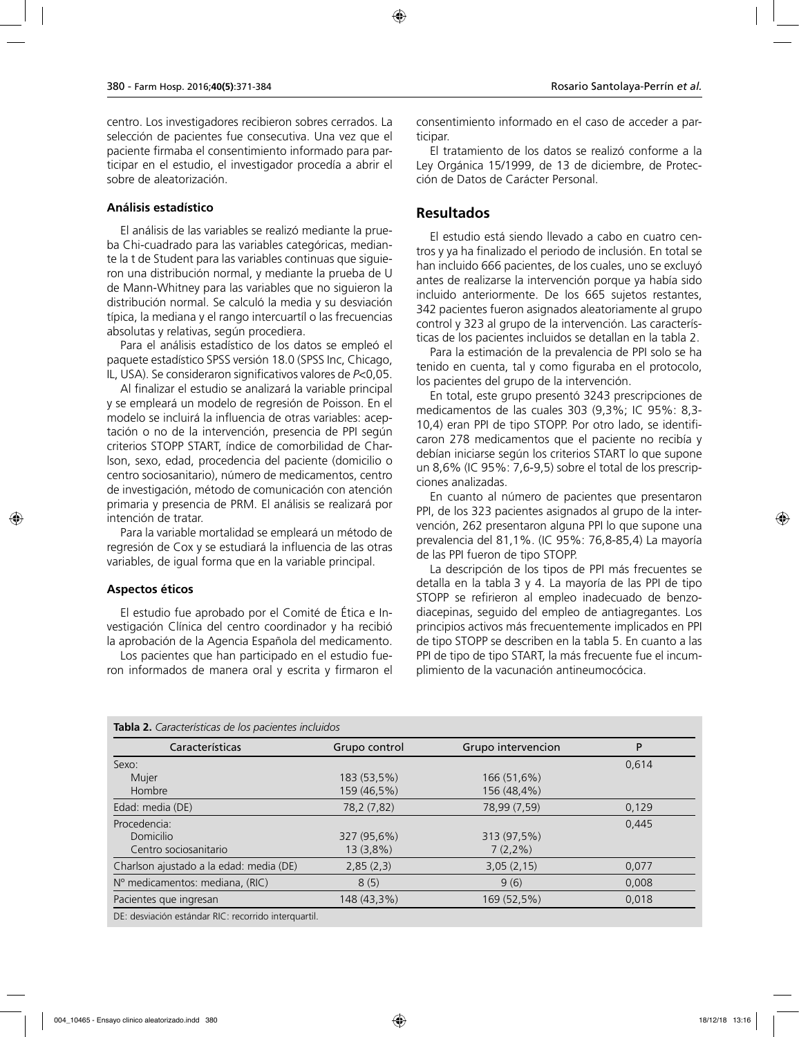centro. Los investigadores recibieron sobres cerrados. La selección de pacientes fue consecutiva. Una vez que el paciente firmaba el consentimiento informado para participar en el estudio, el investigador procedía a abrir el sobre de aleatorización.

#### **Análisis estadístico**

El análisis de las variables se realizó mediante la prueba Chi-cuadrado para las variables categóricas, mediante la t de Student para las variables continuas que siguieron una distribución normal, y mediante la prueba de U de Mann-Whitney para las variables que no siguieron la distribución normal. Se calculó la media y su desviación típica, la mediana y el rango intercuartíl o las frecuencias absolutas y relativas, según procediera.

Para el análisis estadístico de los datos se empleó el paquete estadístico SPSS versión 18.0 (SPSS Inc, Chicago, IL, USA). Se consideraron significativos valores de *P*<0,05.

Al finalizar el estudio se analizará la variable principal y se empleará un modelo de regresión de Poisson. En el modelo se incluirá la influencia de otras variables: aceptación o no de la intervención, presencia de PPI según criterios STOPP START, índice de comorbilidad de Charlson, sexo, edad, procedencia del paciente (domicilio o centro sociosanitario), número de medicamentos, centro de investigación, método de comunicación con atención primaria y presencia de PRM. El análisis se realizará por intención de tratar.

Para la variable mortalidad se empleará un método de regresión de Cox y se estudiará la influencia de las otras variables, de igual forma que en la variable principal.

#### **Aspectos éticos**

El estudio fue aprobado por el Comité de Ética e Investigación Clínica del centro coordinador y ha recibió la aprobación de la Agencia Española del medicamento.

Los pacientes que han participado en el estudio fueron informados de manera oral y escrita y firmaron el consentimiento informado en el caso de acceder a participar.

El tratamiento de los datos se realizó conforme a la Ley Orgánica 15/1999, de 13 de diciembre, de Protección de Datos de Carácter Personal.

### **Resultados**

El estudio está siendo llevado a cabo en cuatro centros y ya ha finalizado el periodo de inclusión. En total se han incluido 666 pacientes, de los cuales, uno se excluyó antes de realizarse la intervención porque ya había sido incluido anteriormente. De los 665 sujetos restantes, 342 pacientes fueron asignados aleatoriamente al grupo control y 323 al grupo de la intervención. Las características de los pacientes incluidos se detallan en la tabla 2.

Para la estimación de la prevalencia de PPI solo se ha tenido en cuenta, tal y como figuraba en el protocolo, los pacientes del grupo de la intervención.

En total, este grupo presentó 3243 prescripciones de medicamentos de las cuales 303 (9,3%; IC 95%: 8,3- 10,4) eran PPI de tipo STOPP. Por otro lado, se identificaron 278 medicamentos que el paciente no recibía y debían iniciarse según los criterios START lo que supone un 8,6% (IC 95%: 7,6-9,5) sobre el total de los prescripciones analizadas.

En cuanto al número de pacientes que presentaron PPI, de los 323 pacientes asignados al grupo de la intervención, 262 presentaron alguna PPI lo que supone una prevalencia del 81,1%. (IC 95%: 76,8-85,4) La mayoría de las PPI fueron de tipo STOPP.

La descripción de los tipos de PPI más frecuentes se detalla en la tabla 3 y 4. La mayoría de las PPI de tipo STOPP se refirieron al empleo inadecuado de benzodiacepinas, seguido del empleo de antiagregantes. Los principios activos más frecuentemente implicados en PPI de tipo STOPP se describen en la tabla 5. En cuanto a las PPI de tipo de tipo START, la más frecuente fue el incumplimiento de la vacunación antineumocócica.

| Características                         | Grupo control | Grupo intervencion | P     |
|-----------------------------------------|---------------|--------------------|-------|
| Sexo:                                   |               |                    | 0.614 |
| Mujer                                   | 183 (53,5%)   | 166 (51,6%)        |       |
| Hombre                                  | 159 (46,5%)   | 156 (48,4%)        |       |
| Edad: media (DE)                        | 78,2 (7,82)   | 78,99 (7,59)       | 0,129 |
| Procedencia:                            |               |                    | 0,445 |
| Domicilio                               | 327 (95,6%)   | 313 (97,5%)        |       |
| Centro sociosanitario                   | 13(3,8%)      | $7(2,2\%)$         |       |
| Charlson ajustado a la edad: media (DE) | 2,85(2,3)     | 3,05(2,15)         | 0,077 |
| Nº medicamentos: mediana, (RIC)         | 8(5)          | 9(6)               | 0,008 |
| Pacientes que ingresan                  | 148 (43,3%)   | 169 (52,5%)        | 0,018 |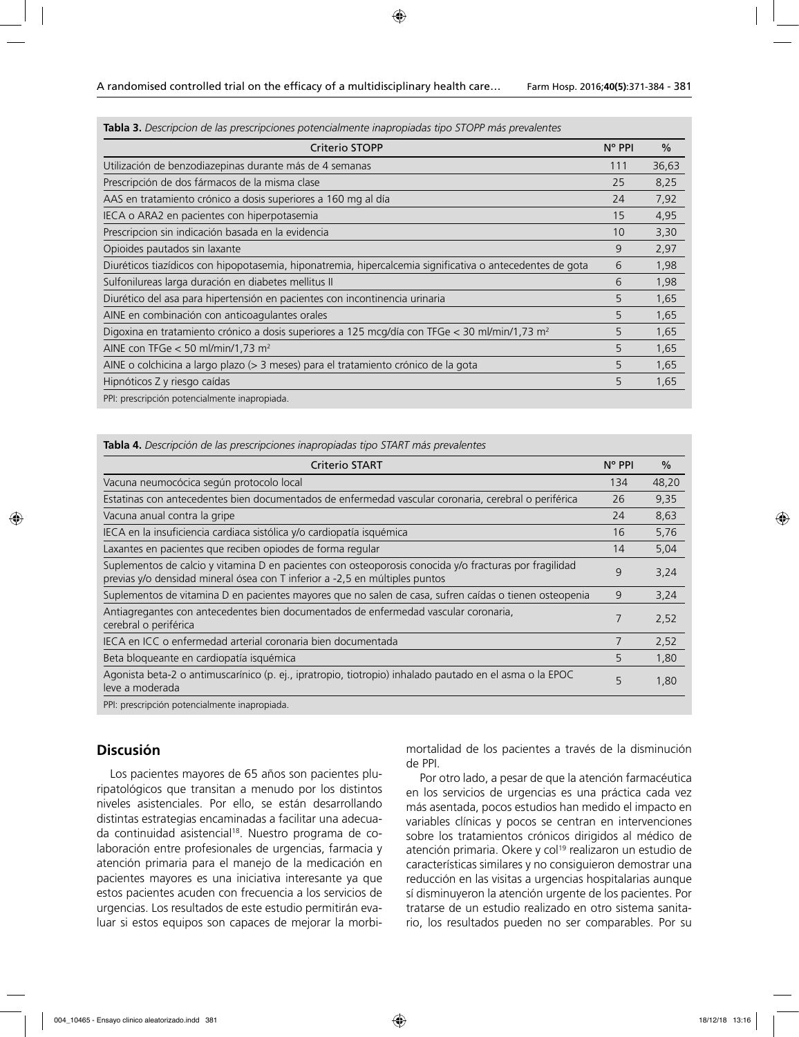**Tabla 3.** *Descripcion de las prescripciones potencialmente inapropiadas tipo STOPP más prevalentes*

| Criterio STOPP                                                                                            | $N^{\circ}$ PPI | $\%$  |
|-----------------------------------------------------------------------------------------------------------|-----------------|-------|
| Utilización de benzodiazepinas durante más de 4 semanas                                                   | 111             | 36,63 |
| Prescripción de dos fármacos de la misma clase                                                            | 25              | 8,25  |
| AAS en tratamiento crónico a dosis superiores a 160 mg al día                                             | 24              | 7,92  |
| IECA o ARA2 en pacientes con hiperpotasemia                                                               | 15              | 4,95  |
| Prescripcion sin indicación basada en la evidencia                                                        | 10              | 3,30  |
| Opioides pautados sin laxante                                                                             | 9               | 2,97  |
| Diuréticos tiazídicos con hipopotasemia, hiponatremia, hipercalcemia significativa o antecedentes de gota | 6               | 1,98  |
| Sulfonilureas larga duración en diabetes mellitus II                                                      | 6               | 1,98  |
| Diurético del asa para hipertensión en pacientes con incontinencia urinaria                               | 5               | 1,65  |
| AINE en combinación con anticoagulantes orales                                                            | 5               | 1,65  |
| Digoxina en tratamiento crónico a dosis superiores a 125 mcg/día con TFGe < 30 ml/min/1,73 m <sup>2</sup> | 5               | 1,65  |
| AINE con TFGe $<$ 50 ml/min/1,73 m <sup>2</sup>                                                           | 5               | 1,65  |
| AINE o colchicina a largo plazo (> 3 meses) para el tratamiento crónico de la gota                        | 5               | 1,65  |
| Hipnóticos Z y riesgo caídas                                                                              | 5               | 1,65  |
| PPI: prescripción potencialmente inapropiada.                                                             |                 |       |

# **Tabla 4.** *Descripción de las prescripciones inapropiadas tipo START más prevalentes*

| <b>Criterio START</b>                                                                                                                                                                 | $N^{\circ}$ PPI | $\frac{0}{0}$ |
|---------------------------------------------------------------------------------------------------------------------------------------------------------------------------------------|-----------------|---------------|
| Vacuna neumocócica según protocolo local                                                                                                                                              | 134             | 48,20         |
| Estatinas con antecedentes bien documentados de enfermedad vascular coronaria, cerebral o periférica                                                                                  | 26              | 9,35          |
| Vacuna anual contra la gripe                                                                                                                                                          | 24              | 8,63          |
| IECA en la insuficiencia cardiaca sistólica y/o cardiopatía isquémica                                                                                                                 | 16              | 5,76          |
| Laxantes en pacientes que reciben opiodes de forma regular                                                                                                                            | 14              | 5,04          |
| Suplementos de calcio y vitamina D en pacientes con osteoporosis conocida y/o fracturas por fragilidad<br>previas y/o densidad mineral ósea con T inferior a -2,5 en múltiples puntos | 9               | 3,24          |
| Suplementos de vitamina D en pacientes mayores que no salen de casa, sufren caídas o tienen osteopenia                                                                                | 9               | 3,24          |
| Antiagregantes con antecedentes bien documentados de enfermedad vascular coronaria,<br>cerebral o periférica                                                                          | 7               | 2,52          |
| IECA en ICC o enfermedad arterial coronaria bien documentada                                                                                                                          | 7               | 2,52          |
| Beta bloqueante en cardiopatía isquémica                                                                                                                                              | 5               | 1,80          |
| Agonista beta-2 o antimuscarínico (p. ej., ipratropio, tiotropio) inhalado pautado en el asma o la EPOC<br>leve a moderada                                                            | 5               | 1,80          |
| DDL: proscripción potopcialmente inapropiada                                                                                                                                          |                 |               |

PPI: prescripción potencialmente inapropiada.

#### **Discusión**

Los pacientes mayores de 65 años son pacientes pluripatológicos que transitan a menudo por los distintos niveles asistenciales. Por ello, se están desarrollando distintas estrategias encaminadas a facilitar una adecuada continuidad asistencial<sup>18</sup>. Nuestro programa de colaboración entre profesionales de urgencias, farmacia y atención primaria para el manejo de la medicación en pacientes mayores es una iniciativa interesante ya que estos pacientes acuden con frecuencia a los servicios de urgencias. Los resultados de este estudio permitirán evaluar si estos equipos son capaces de mejorar la morbimortalidad de los pacientes a través de la disminución de PPI.

Por otro lado, a pesar de que la atención farmacéutica en los servicios de urgencias es una práctica cada vez más asentada, pocos estudios han medido el impacto en variables clínicas y pocos se centran en intervenciones sobre los tratamientos crónicos dirigidos al médico de atención primaria. Okere y col<sup>19</sup> realizaron un estudio de características similares y no consiguieron demostrar una reducción en las visitas a urgencias hospitalarias aunque sí disminuyeron la atención urgente de los pacientes. Por tratarse de un estudio realizado en otro sistema sanitario, los resultados pueden no ser comparables. Por su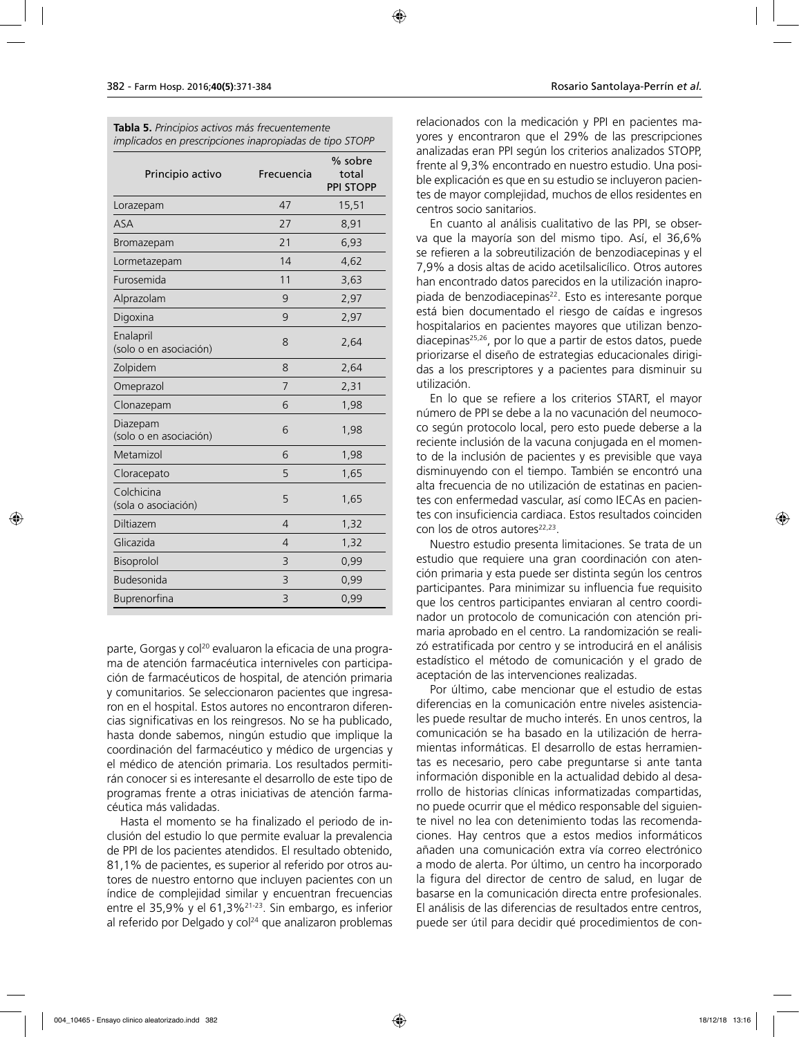| Tabla 5. Principios activos más frecuentemente          |  |  |  |
|---------------------------------------------------------|--|--|--|
| implicados en prescripciones inapropiadas de tipo STOPP |  |  |  |

| Principio activo                    | Frecuencia     | % sobre<br>total<br><b>PPI STOPP</b> |
|-------------------------------------|----------------|--------------------------------------|
| Lorazepam                           | 47             | 15,51                                |
| <b>ASA</b>                          | 27             | 8,91                                 |
| Bromazepam                          | 21             | 6,93                                 |
| Lormetazepam                        | 14             | 4,62                                 |
| Furosemida                          | 11             | 3,63                                 |
| Alprazolam                          | 9              | 2,97                                 |
| Digoxina                            | 9              | 2,97                                 |
| Enalapril<br>(solo o en asociación) | 8              | 2,64                                 |
| Zolpidem                            | 8              | 2,64                                 |
| Omeprazol                           | 7              | 2,31                                 |
| Clonazepam                          | 6              | 1,98                                 |
| Diazepam<br>(solo o en asociación)  | 6              | 1,98                                 |
| Metamizol                           | 6              | 1,98                                 |
| Cloracepato                         | 5              | 1,65                                 |
| Colchicina<br>(sola o asociación)   | 5              | 1,65                                 |
| Diltiazem                           | 4              | 1,32                                 |
| Glicazida                           | $\overline{4}$ | 1,32                                 |
| Bisoprolol                          | 3              | 0,99                                 |
| Budesonida                          | 3              | 0,99                                 |
| Buprenorfina                        | 3              | 0,99                                 |

parte, Gorgas y col<sup>20</sup> evaluaron la eficacia de una programa de atención farmacéutica interniveles con participación de farmacéuticos de hospital, de atención primaria y comunitarios. Se seleccionaron pacientes que ingresaron en el hospital. Estos autores no encontraron diferencias significativas en los reingresos. No se ha publicado, hasta donde sabemos, ningún estudio que implique la coordinación del farmacéutico y médico de urgencias y el médico de atención primaria. Los resultados permitirán conocer si es interesante el desarrollo de este tipo de programas frente a otras iniciativas de atención farmacéutica más validadas.

Hasta el momento se ha finalizado el periodo de inclusión del estudio lo que permite evaluar la prevalencia de PPI de los pacientes atendidos. El resultado obtenido, 81,1% de pacientes, es superior al referido por otros autores de nuestro entorno que incluyen pacientes con un índice de complejidad similar y encuentran frecuencias entre el 35,9% y el 61,3%21-23. Sin embargo, es inferior al referido por Delgado y col<sup>24</sup> que analizaron problemas

relacionados con la medicación y PPI en pacientes mayores y encontraron que el 29% de las prescripciones analizadas eran PPI según los criterios analizados STOPP, frente al 9,3% encontrado en nuestro estudio. Una posible explicación es que en su estudio se incluyeron pacientes de mayor complejidad, muchos de ellos residentes en centros socio sanitarios.

En cuanto al análisis cualitativo de las PPI, se observa que la mayoría son del mismo tipo. Así, el 36,6% se refieren a la sobreutilización de benzodiacepinas y el 7,9% a dosis altas de acido acetilsalicílico. Otros autores han encontrado datos parecidos en la utilización inapropiada de benzodiacepinas<sup>22</sup>. Esto es interesante porque está bien documentado el riesgo de caídas e ingresos hospitalarios en pacientes mayores que utilizan benzodiacepinas25,26, por lo que a partir de estos datos, puede priorizarse el diseño de estrategias educacionales dirigidas a los prescriptores y a pacientes para disminuir su utilización.

En lo que se refiere a los criterios START, el mayor número de PPI se debe a la no vacunación del neumococo según protocolo local, pero esto puede deberse a la reciente inclusión de la vacuna conjugada en el momento de la inclusión de pacientes y es previsible que vaya disminuyendo con el tiempo. También se encontró una alta frecuencia de no utilización de estatinas en pacientes con enfermedad vascular, así como IECAs en pacientes con insuficiencia cardiaca. Estos resultados coinciden con los de otros autores<sup>22,23</sup>.

Nuestro estudio presenta limitaciones. Se trata de un estudio que requiere una gran coordinación con atención primaria y esta puede ser distinta según los centros participantes. Para minimizar su influencia fue requisito que los centros participantes enviaran al centro coordinador un protocolo de comunicación con atención primaria aprobado en el centro. La randomización se realizó estratificada por centro y se introducirá en el análisis estadístico el método de comunicación y el grado de aceptación de las intervenciones realizadas.

Por último, cabe mencionar que el estudio de estas diferencias en la comunicación entre niveles asistenciales puede resultar de mucho interés. En unos centros, la comunicación se ha basado en la utilización de herramientas informáticas. El desarrollo de estas herramientas es necesario, pero cabe preguntarse si ante tanta información disponible en la actualidad debido al desarrollo de historias clínicas informatizadas compartidas, no puede ocurrir que el médico responsable del siguiente nivel no lea con detenimiento todas las recomendaciones. Hay centros que a estos medios informáticos añaden una comunicación extra vía correo electrónico a modo de alerta. Por último, un centro ha incorporado la figura del director de centro de salud, en lugar de basarse en la comunicación directa entre profesionales. El análisis de las diferencias de resultados entre centros, puede ser útil para decidir qué procedimientos de con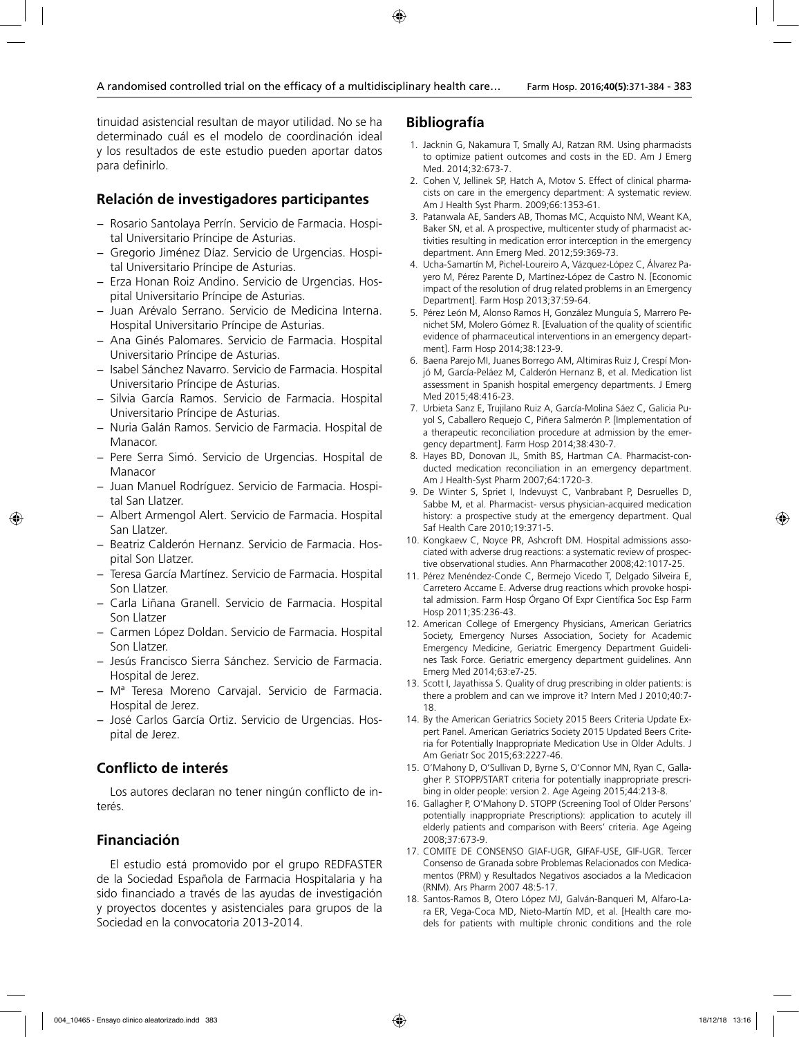tinuidad asistencial resultan de mayor utilidad. No se ha determinado cuál es el modelo de coordinación ideal y los resultados de este estudio pueden aportar datos para definirlo.

### **Relación de investigadores participantes**

- − Rosario Santolaya Perrín. Servicio de Farmacia. Hospital Universitario Príncipe de Asturias.
- − Gregorio Jiménez Díaz. Servicio de Urgencias. Hospital Universitario Príncipe de Asturias.
- − Erza Honan Roiz Andino. Servicio de Urgencias. Hospital Universitario Príncipe de Asturias.
- − Juan Arévalo Serrano. Servicio de Medicina Interna. Hospital Universitario Príncipe de Asturias.
- − Ana Ginés Palomares. Servicio de Farmacia. Hospital Universitario Príncipe de Asturias.
- − Isabel Sánchez Navarro. Servicio de Farmacia. Hospital Universitario Príncipe de Asturias.
- − Silvia García Ramos. Servicio de Farmacia. Hospital Universitario Príncipe de Asturias.
- − Nuria Galán Ramos. Servicio de Farmacia. Hospital de Manacor.
- − Pere Serra Simó. Servicio de Urgencias. Hospital de Manacor
- − Juan Manuel Rodríguez. Servicio de Farmacia. Hospital San Llatzer.
- − Albert Armengol Alert. Servicio de Farmacia. Hospital San Llatzer.
- − Beatriz Calderón Hernanz. Servicio de Farmacia. Hospital Son Llatzer.
- − Teresa García Martínez. Servicio de Farmacia. Hospital Son Llatzer.
- − Carla Liñana Granell. Servicio de Farmacia. Hospital Son Llatzer
- − Carmen López Doldan. Servicio de Farmacia. Hospital Son Llatzer.
- − Jesús Francisco Sierra Sánchez. Servicio de Farmacia. Hospital de Jerez.
- − Mª Teresa Moreno Carvajal. Servicio de Farmacia. Hospital de Jerez.
- − José Carlos García Ortiz. Servicio de Urgencias. Hospital de Jerez.

# **Conflicto de interés**

Los autores declaran no tener ningún conflicto de interés.

## **Financiación**

El estudio está promovido por el grupo REDFASTER de la Sociedad Española de Farmacia Hospitalaria y ha sido financiado a través de las ayudas de investigación y proyectos docentes y asistenciales para grupos de la Sociedad en la convocatoria 2013-2014.

### **Bibliografía**

- 1. Jacknin G, Nakamura T, Smally AJ, Ratzan RM. Using pharmacists to optimize patient outcomes and costs in the ED. Am J Emerg Med. 2014;32:673-7.
- 2. Cohen V, Jellinek SP, Hatch A, Motov S. Effect of clinical pharmacists on care in the emergency department: A systematic review. Am J Health Syst Pharm. 2009;66:1353-61.
- 3. Patanwala AE, Sanders AB, Thomas MC, Acquisto NM, Weant KA, Baker SN, et al. A prospective, multicenter study of pharmacist activities resulting in medication error interception in the emergency department. Ann Emerg Med. 2012;59:369-73.
- 4. Ucha-Samartín M, Pichel-Loureiro A, Vázquez-López C, Álvarez Payero M, Pérez Parente D, Martínez-López de Castro N. [Economic impact of the resolution of drug related problems in an Emergency Department]. Farm Hosp 2013;37:59-64.
- 5. Pérez León M, Alonso Ramos H, González Munguía S, Marrero Penichet SM, Molero Gómez R. [Evaluation of the quality of scientific evidence of pharmaceutical interventions in an emergency department]. Farm Hosp 2014;38:123-9.
- 6. Baena Parejo MI, Juanes Borrego AM, Altimiras Ruiz J, Crespí Monjó M, García-Peláez M, Calderón Hernanz B, et al. Medication list assessment in Spanish hospital emergency departments. J Emerg Med 2015;48:416-23.
- 7. Urbieta Sanz E, Trujilano Ruiz A, García-Molina Sáez C, Galicia Puyol S, Caballero Requejo C, Piñera Salmerón P. [Implementation of a therapeutic reconciliation procedure at admission by the emergency department]. Farm Hosp 2014;38:430-7.
- 8. Hayes BD, Donovan JL, Smith BS, Hartman CA. Pharmacist-conducted medication reconciliation in an emergency department. Am J Health-Syst Pharm 2007;64:1720-3.
- 9. De Winter S, Spriet I, Indevuyst C, Vanbrabant P, Desruelles D, Sabbe M, et al. Pharmacist- versus physician-acquired medication history: a prospective study at the emergency department. Qual Saf Health Care 2010;19:371-5.
- 10. Kongkaew C, Noyce PR, Ashcroft DM. Hospital admissions associated with adverse drug reactions: a systematic review of prospective observational studies. Ann Pharmacother 2008;42:1017-25.
- 11. Pérez Menéndez-Conde C, Bermejo Vicedo T, Delgado Silveira E, Carretero Accame E. Adverse drug reactions which provoke hospital admission. Farm Hosp Órgano Of Expr Científica Soc Esp Farm Hosp 2011;35:236-43.
- 12. American College of Emergency Physicians, American Geriatrics Society, Emergency Nurses Association, Society for Academic Emergency Medicine, Geriatric Emergency Department Guidelines Task Force. Geriatric emergency department guidelines. Ann Emerg Med 2014;63:e7-25.
- 13. Scott I, Jayathissa S. Quality of drug prescribing in older patients: is there a problem and can we improve it? Intern Med J 2010;40:7- 18.
- 14. By the American Geriatrics Society 2015 Beers Criteria Update Expert Panel. American Geriatrics Society 2015 Updated Beers Criteria for Potentially Inappropriate Medication Use in Older Adults. J Am Geriatr Soc 2015;63:2227-46.
- 15. O'Mahony D, O'Sullivan D, Byrne S, O'Connor MN, Ryan C, Gallagher P. STOPP/START criteria for potentially inappropriate prescribing in older people: version 2. Age Ageing 2015;44:213-8.
- 16. Gallagher P, O'Mahony D. STOPP (Screening Tool of Older Persons' potentially inappropriate Prescriptions): application to acutely ill elderly patients and comparison with Beers' criteria. Age Ageing 2008;37:673-9.
- 17. COMITE DE CONSENSO GIAF-UGR, GIFAF-USE, GIF-UGR. Tercer Consenso de Granada sobre Problemas Relacionados con Medicamentos (PRM) y Resultados Negativos asociados a la Medicacion (RNM). Ars Pharm 2007 48:5-17.
- 18. Santos-Ramos B, Otero López MJ, Galván-Banqueri M, Alfaro-Lara ER, Vega-Coca MD, Nieto-Martín MD, et al. [Health care models for patients with multiple chronic conditions and the role